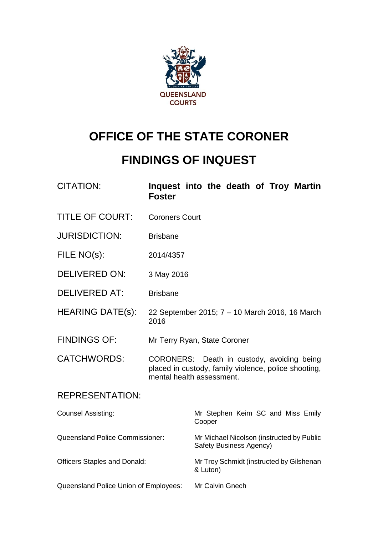

# **OFFICE OF THE STATE CORONER**

# **FINDINGS OF INQUEST**

| <b>CITATION:</b>                       | Inquest into the death of Troy Martin<br><b>Foster</b>                                                                          |                                                                      |  |  |  |  |
|----------------------------------------|---------------------------------------------------------------------------------------------------------------------------------|----------------------------------------------------------------------|--|--|--|--|
| <b>TITLE OF COURT:</b>                 | <b>Coroners Court</b>                                                                                                           |                                                                      |  |  |  |  |
| <b>JURISDICTION:</b>                   | <b>Brisbane</b>                                                                                                                 |                                                                      |  |  |  |  |
| FILE NO(s):                            | 2014/4357                                                                                                                       |                                                                      |  |  |  |  |
| <b>DELIVERED ON:</b>                   | 3 May 2016                                                                                                                      |                                                                      |  |  |  |  |
| <b>DELIVERED AT:</b>                   | <b>Brisbane</b>                                                                                                                 |                                                                      |  |  |  |  |
| <b>HEARING DATE(s):</b>                | 22 September 2015; 7 – 10 March 2016, 16 March<br>2016                                                                          |                                                                      |  |  |  |  |
| <b>FINDINGS OF:</b>                    | Mr Terry Ryan, State Coroner                                                                                                    |                                                                      |  |  |  |  |
| <b>CATCHWORDS:</b>                     | CORONERS: Death in custody, avoiding being<br>placed in custody, family violence, police shooting,<br>mental health assessment. |                                                                      |  |  |  |  |
| <b>REPRESENTATION:</b>                 |                                                                                                                                 |                                                                      |  |  |  |  |
| <b>Counsel Assisting:</b>              |                                                                                                                                 | Mr Stephen Keim SC and Miss Emily<br>Cooper                          |  |  |  |  |
| <b>Queensland Police Commissioner:</b> |                                                                                                                                 | Mr Michael Nicolson (instructed by Public<br>Safety Business Agency) |  |  |  |  |
| <b>Officers Staples and Donald:</b>    |                                                                                                                                 | Mr Troy Schmidt (instructed by Gilshenan<br>& Luton)                 |  |  |  |  |
| Queensland Police Union of Employees:  |                                                                                                                                 | Mr Calvin Gnech                                                      |  |  |  |  |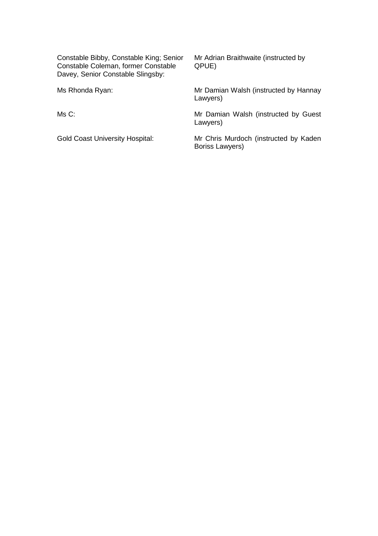Constable Bibby, Constable King; Senior Mr Adrian Braithwaite (instructed by Constable Coleman, former Constable QPUE) Constable Coleman, former Constable Davey, Senior Constable Slingsby:

Ms Rhonda Ryan: Mr Damian Walsh (instructed by Hannay Lawyers)

Ms C: Ms C: Mr Damian Walsh (instructed by Guest Lawyers)

Gold Coast University Hospital: Mr Chris Murdoch (instructed by Kaden Boriss Lawyers)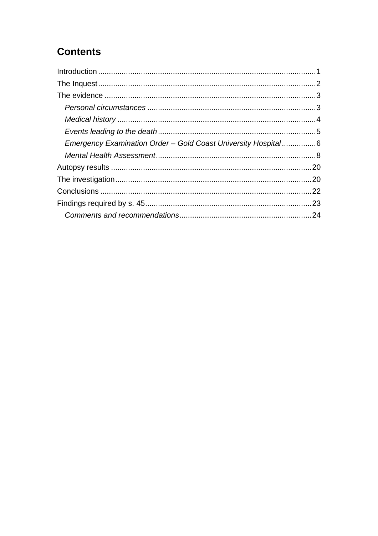## **Contents**

| Emergency Examination Order - Gold Coast University Hospital6 |  |
|---------------------------------------------------------------|--|
|                                                               |  |
|                                                               |  |
|                                                               |  |
|                                                               |  |
|                                                               |  |
|                                                               |  |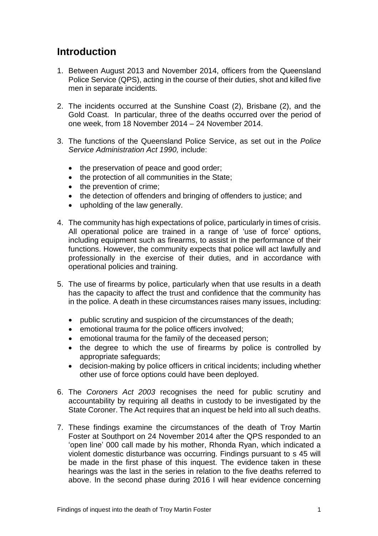### <span id="page-3-0"></span>**Introduction**

- 1. Between August 2013 and November 2014, officers from the Queensland Police Service (QPS), acting in the course of their duties, shot and killed five men in separate incidents.
- 2. The incidents occurred at the Sunshine Coast (2), Brisbane (2), and the Gold Coast. In particular, three of the deaths occurred over the period of one week, from 18 November 2014 – 24 November 2014.
- 3. The functions of the Queensland Police Service, as set out in the *Police Service Administration Act 1990,* include:
	- the preservation of peace and good order;
	- the protection of all communities in the State;
	- the prevention of crime;
	- the detection of offenders and bringing of offenders to justice; and
	- upholding of the law generally.
- 4. The community has high expectations of police, particularly in times of crisis. All operational police are trained in a range of 'use of force' options, including equipment such as firearms, to assist in the performance of their functions. However, the community expects that police will act lawfully and professionally in the exercise of their duties, and in accordance with operational policies and training.
- 5. The use of firearms by police, particularly when that use results in a death has the capacity to affect the trust and confidence that the community has in the police. A death in these circumstances raises many issues, including:
	- public scrutiny and suspicion of the circumstances of the death;
	- emotional trauma for the police officers involved;
	- emotional trauma for the family of the deceased person;
	- the degree to which the use of firearms by police is controlled by appropriate safeguards;
	- decision-making by police officers in critical incidents; including whether other use of force options could have been deployed.
- 6. The *Coroners Act 2003* recognises the need for public scrutiny and accountability by requiring all deaths in custody to be investigated by the State Coroner. The Act requires that an inquest be held into all such deaths.
- 7. These findings examine the circumstances of the death of Troy Martin Foster at Southport on 24 November 2014 after the QPS responded to an 'open line' 000 call made by his mother, Rhonda Ryan, which indicated a violent domestic disturbance was occurring. Findings pursuant to s 45 will be made in the first phase of this inquest. The evidence taken in these hearings was the last in the series in relation to the five deaths referred to above. In the second phase during 2016 I will hear evidence concerning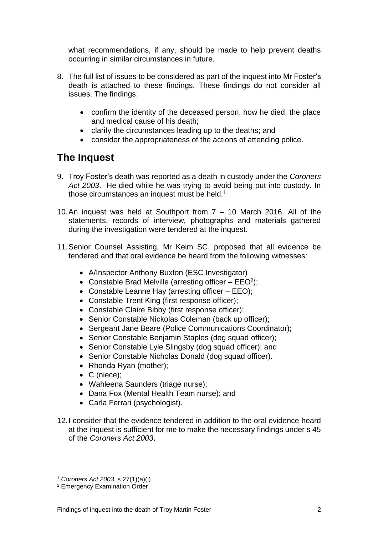what recommendations, if any, should be made to help prevent deaths occurring in similar circumstances in future.

- 8. The full list of issues to be considered as part of the inquest into Mr Foster's death is attached to these findings. These findings do not consider all issues. The findings:
	- confirm the identity of the deceased person, how he died, the place and medical cause of his death;
	- clarify the circumstances leading up to the deaths; and
	- consider the appropriateness of the actions of attending police.

## <span id="page-4-0"></span>**The Inquest**

- 9. Troy Foster's death was reported as a death in custody under the *Coroners Act 2003*. He died while he was trying to avoid being put into custody. In those circumstances an inquest must be held.<sup>1</sup>
- 10.An inquest was held at Southport from 7 10 March 2016. All of the statements, records of interview, photographs and materials gathered during the investigation were tendered at the inquest.
- 11.Senior Counsel Assisting, Mr Keim SC, proposed that all evidence be tendered and that oral evidence be heard from the following witnesses:
	- A/Inspector Anthony Buxton (ESC Investigator)
	- Constable Brad Melville (arresting officer  $-$  EEO<sup>2</sup>);
	- Constable Leanne Hay (arresting officer EEO);
	- Constable Trent King (first response officer);
	- Constable Claire Bibby (first response officer);
	- Senior Constable Nickolas Coleman (back up officer);
	- Sergeant Jane Beare (Police Communications Coordinator);
	- Senior Constable Benjamin Staples (dog squad officer);
	- Senior Constable Lyle Slingsby (dog squad officer); and
	- Senior Constable Nicholas Donald (dog squad officer).
	- Rhonda Ryan (mother);
	- C (niece);
	- Wahleena Saunders (triage nurse);
	- Dana Fox (Mental Health Team nurse); and
	- Carla Ferrari (psychologist).
- 12.I consider that the evidence tendered in addition to the oral evidence heard at the inquest is sufficient for me to make the necessary findings under s 45 of the *Coroners Act 2003*.

<sup>1</sup> *Coroners Act 2003*, s 27(1)(a)(i)

<sup>2</sup> Emergency Examination Order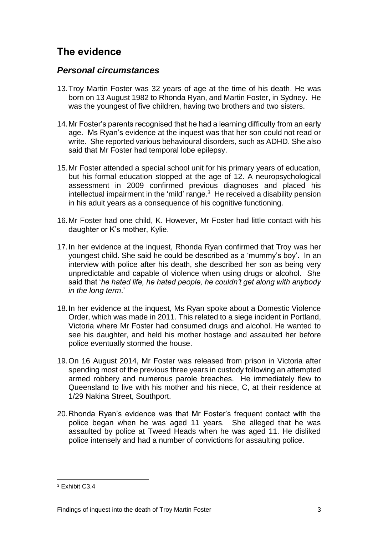## <span id="page-5-0"></span>**The evidence**

#### <span id="page-5-1"></span>*Personal circumstances*

- 13.Troy Martin Foster was 32 years of age at the time of his death. He was born on 13 August 1982 to Rhonda Ryan, and Martin Foster, in Sydney. He was the youngest of five children, having two brothers and two sisters.
- 14.Mr Foster's parents recognised that he had a learning difficulty from an early age. Ms Ryan's evidence at the inquest was that her son could not read or write. She reported various behavioural disorders, such as ADHD. She also said that Mr Foster had temporal lobe epilepsy.
- 15.Mr Foster attended a special school unit for his primary years of education, but his formal education stopped at the age of 12. A neuropsychological assessment in 2009 confirmed previous diagnoses and placed his intellectual impairment in the 'mild' range. $3$  He received a disability pension in his adult years as a consequence of his cognitive functioning.
- 16.Mr Foster had one child, K. However, Mr Foster had little contact with his daughter or K's mother, Kylie.
- 17.In her evidence at the inquest, Rhonda Ryan confirmed that Troy was her youngest child. She said he could be described as a 'mummy's boy'. In an interview with police after his death, she described her son as being very unpredictable and capable of violence when using drugs or alcohol. She said that '*he hated life, he hated people, he couldn't get along with anybody in the long term*.'
- 18.In her evidence at the inquest, Ms Ryan spoke about a Domestic Violence Order, which was made in 2011. This related to a siege incident in Portland, Victoria where Mr Foster had consumed drugs and alcohol. He wanted to see his daughter, and held his mother hostage and assaulted her before police eventually stormed the house.
- 19.On 16 August 2014, Mr Foster was released from prison in Victoria after spending most of the previous three years in custody following an attempted armed robbery and numerous parole breaches. He immediately flew to Queensland to live with his mother and his niece, C, at their residence at 1/29 Nakina Street, Southport.
- 20.Rhonda Ryan's evidence was that Mr Foster's frequent contact with the police began when he was aged 11 years. She alleged that he was assaulted by police at Tweed Heads when he was aged 11. He disliked police intensely and had a number of convictions for assaulting police.

<sup>3</sup> Exhibit C3.4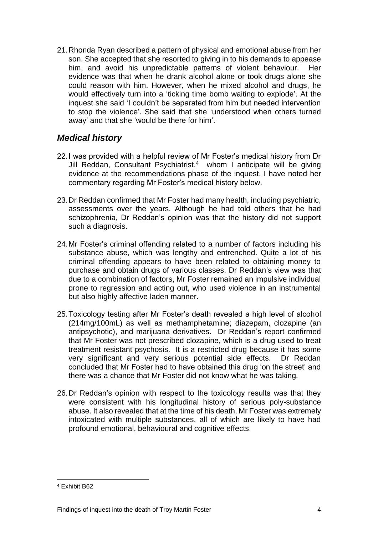21.Rhonda Ryan described a pattern of physical and emotional abuse from her son. She accepted that she resorted to giving in to his demands to appease him, and avoid his unpredictable patterns of violent behaviour. Her evidence was that when he drank alcohol alone or took drugs alone she could reason with him. However, when he mixed alcohol and drugs, he would effectively turn into a 'ticking time bomb waiting to explode'. At the inquest she said 'I couldn't be separated from him but needed intervention to stop the violence'. She said that she 'understood when others turned away' and that she 'would be there for him'.

#### <span id="page-6-0"></span>*Medical history*

- 22.I was provided with a helpful review of Mr Foster's medical history from Dr Jill Reddan, Consultant Psychiatrist, 4 whom I anticipate will be giving evidence at the recommendations phase of the inquest. I have noted her commentary regarding Mr Foster's medical history below.
- 23.Dr Reddan confirmed that Mr Foster had many health, including psychiatric, assessments over the years. Although he had told others that he had schizophrenia, Dr Reddan's opinion was that the history did not support such a diagnosis.
- 24.Mr Foster's criminal offending related to a number of factors including his substance abuse, which was lengthy and entrenched. Quite a lot of his criminal offending appears to have been related to obtaining money to purchase and obtain drugs of various classes. Dr Reddan's view was that due to a combination of factors, Mr Foster remained an impulsive individual prone to regression and acting out, who used violence in an instrumental but also highly affective laden manner.
- 25.Toxicology testing after Mr Foster's death revealed a high level of alcohol (214mg/100mL) as well as methamphetamine; diazepam, clozapine (an antipsychotic), and marijuana derivatives. Dr Reddan's report confirmed that Mr Foster was not prescribed clozapine, which is a drug used to treat treatment resistant psychosis. It is a restricted drug because it has some very significant and very serious potential side effects. Dr Reddan concluded that Mr Foster had to have obtained this drug 'on the street' and there was a chance that Mr Foster did not know what he was taking.
- 26.Dr Reddan's opinion with respect to the toxicology results was that they were consistent with his longitudinal history of serious poly-substance abuse. It also revealed that at the time of his death, Mr Foster was extremely intoxicated with multiple substances, all of which are likely to have had profound emotional, behavioural and cognitive effects.

<sup>4</sup> Exhibit B62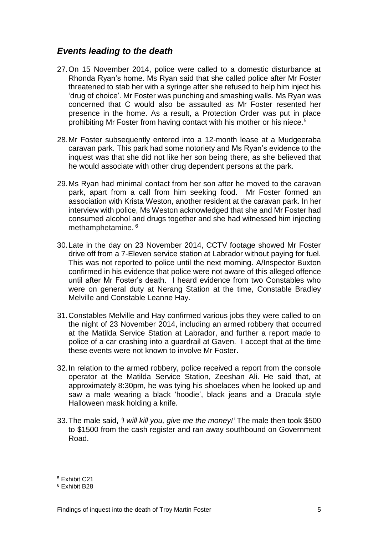#### <span id="page-7-0"></span>*Events leading to the death*

- 27.On 15 November 2014, police were called to a domestic disturbance at Rhonda Ryan's home. Ms Ryan said that she called police after Mr Foster threatened to stab her with a syringe after she refused to help him inject his 'drug of choice'. Mr Foster was punching and smashing walls. Ms Ryan was concerned that C would also be assaulted as Mr Foster resented her presence in the home. As a result, a Protection Order was put in place prohibiting Mr Foster from having contact with his mother or his niece. 5
- 28.Mr Foster subsequently entered into a 12-month lease at a Mudgeeraba caravan park. This park had some notoriety and Ms Ryan's evidence to the inquest was that she did not like her son being there, as she believed that he would associate with other drug dependent persons at the park.
- 29.Ms Ryan had minimal contact from her son after he moved to the caravan park, apart from a call from him seeking food. Mr Foster formed an association with Krista Weston, another resident at the caravan park. In her interview with police, Ms Weston acknowledged that she and Mr Foster had consumed alcohol and drugs together and she had witnessed him injecting methamphetamine. <sup>6</sup>
- 30.Late in the day on 23 November 2014, CCTV footage showed Mr Foster drive off from a 7-Eleven service station at Labrador without paying for fuel. This was not reported to police until the next morning. A/Inspector Buxton confirmed in his evidence that police were not aware of this alleged offence until after Mr Foster's death. I heard evidence from two Constables who were on general duty at Nerang Station at the time, Constable Bradley Melville and Constable Leanne Hay.
- 31.Constables Melville and Hay confirmed various jobs they were called to on the night of 23 November 2014, including an armed robbery that occurred at the Matilda Service Station at Labrador, and further a report made to police of a car crashing into a guardrail at Gaven. I accept that at the time these events were not known to involve Mr Foster.
- 32.In relation to the armed robbery, police received a report from the console operator at the Matilda Service Station, Zeeshan Ali. He said that, at approximately 8:30pm, he was tying his shoelaces when he looked up and saw a male wearing a black 'hoodie', black jeans and a Dracula style Halloween mask holding a knife.
- 33.The male said, *'I will kill you, give me the money!'* The male then took \$500 to \$1500 from the cash register and ran away southbound on Government Road.

<sup>5</sup> Exhibit C21

<sup>6</sup> Exhibit B28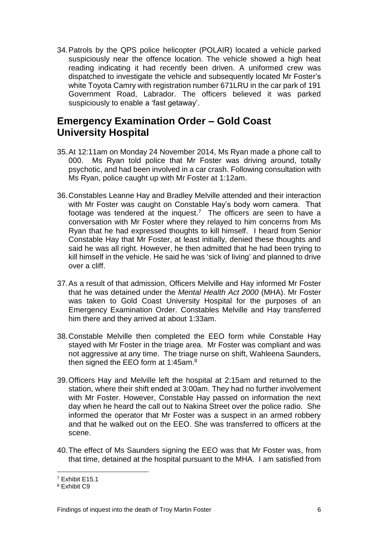34.Patrols by the QPS police helicopter (POLAIR) located a vehicle parked suspiciously near the offence location. The vehicle showed a high heat reading indicating it had recently been driven. A uniformed crew was dispatched to investigate the vehicle and subsequently located Mr Foster's white Toyota Camry with registration number 671LRU in the car park of 191 Government Road, Labrador. The officers believed it was parked suspiciously to enable a 'fast getaway'.

#### <span id="page-8-0"></span>**Emergency Examination Order – Gold Coast University Hospital**

- 35.At 12:11am on Monday 24 November 2014, Ms Ryan made a phone call to 000. Ms Ryan told police that Mr Foster was driving around, totally psychotic, and had been involved in a car crash. Following consultation with Ms Ryan, police caught up with Mr Foster at 1:12am.
- 36.Constables Leanne Hay and Bradley Melville attended and their interaction with Mr Foster was caught on Constable Hay's body worn camera. That footage was tendered at the inquest.<sup>7</sup> The officers are seen to have a conversation with Mr Foster where they relayed to him concerns from Ms Ryan that he had expressed thoughts to kill himself. I heard from Senior Constable Hay that Mr Foster, at least initially, denied these thoughts and said he was all right. However, he then admitted that he had been trying to kill himself in the vehicle. He said he was 'sick of living' and planned to drive over a cliff.
- 37.As a result of that admission, Officers Melville and Hay informed Mr Foster that he was detained under the *Mental Health Act 2000* (MHA). Mr Foster was taken to Gold Coast University Hospital for the purposes of an Emergency Examination Order. Constables Melville and Hay transferred him there and they arrived at about 1:33am.
- 38.Constable Melville then completed the EEO form while Constable Hay stayed with Mr Foster in the triage area. Mr Foster was compliant and was not aggressive at any time. The triage nurse on shift, Wahleena Saunders, then signed the EEO form at 1:45am.<sup>8</sup>
- 39.Officers Hay and Melville left the hospital at 2:15am and returned to the station, where their shift ended at 3:00am. They had no further involvement with Mr Foster. However, Constable Hay passed on information the next day when he heard the call out to Nakina Street over the police radio. She informed the operator that Mr Foster was a suspect in an armed robbery and that he walked out on the EEO. She was transferred to officers at the scene.
- 40.The effect of Ms Saunders signing the EEO was that Mr Foster was, from that time, detained at the hospital pursuant to the MHA. I am satisfied from

<sup>7</sup> Exhibit E15.1

<sup>8</sup> Exhibit C9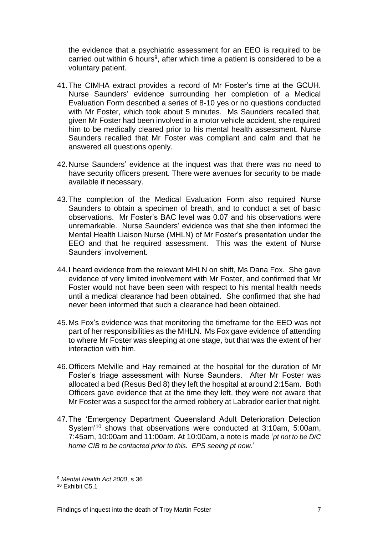the evidence that a psychiatric assessment for an EEO is required to be carried out within 6 hours<sup>9</sup>, after which time a patient is considered to be a voluntary patient.

- 41.The CIMHA extract provides a record of Mr Foster's time at the GCUH. Nurse Saunders' evidence surrounding her completion of a Medical Evaluation Form described a series of 8-10 yes or no questions conducted with Mr Foster, which took about 5 minutes. Ms Saunders recalled that, given Mr Foster had been involved in a motor vehicle accident, she required him to be medically cleared prior to his mental health assessment. Nurse Saunders recalled that Mr Foster was compliant and calm and that he answered all questions openly.
- 42.Nurse Saunders' evidence at the inquest was that there was no need to have security officers present. There were avenues for security to be made available if necessary.
- 43.The completion of the Medical Evaluation Form also required Nurse Saunders to obtain a specimen of breath, and to conduct a set of basic observations. Mr Foster's BAC level was 0.07 and his observations were unremarkable. Nurse Saunders' evidence was that she then informed the Mental Health Liaison Nurse (MHLN) of Mr Foster's presentation under the EEO and that he required assessment. This was the extent of Nurse Saunders' involvement.
- 44.I heard evidence from the relevant MHLN on shift, Ms Dana Fox. She gave evidence of very limited involvement with Mr Foster, and confirmed that Mr Foster would not have been seen with respect to his mental health needs until a medical clearance had been obtained. She confirmed that she had never been informed that such a clearance had been obtained.
- 45.Ms Fox's evidence was that monitoring the timeframe for the EEO was not part of her responsibilities as the MHLN. Ms Fox gave evidence of attending to where Mr Foster was sleeping at one stage, but that was the extent of her interaction with him.
- 46.Officers Melville and Hay remained at the hospital for the duration of Mr Foster's triage assessment with Nurse Saunders. After Mr Foster was allocated a bed (Resus Bed 8) they left the hospital at around 2:15am. Both Officers gave evidence that at the time they left, they were not aware that Mr Foster was a suspect for the armed robbery at Labrador earlier that night.
- 47.The 'Emergency Department Queensland Adult Deterioration Detection System'<sup>10</sup> shows that observations were conducted at 3:10am, 5:00am, 7:45am, 10:00am and 11:00am. At 10:00am, a note is made '*pt not to be D/C home CIB to be contacted prior to this. EPS seeing pt now*.'

<sup>9</sup> *Mental Health Act 2000*, s 36

<sup>10</sup> Exhibit C5.1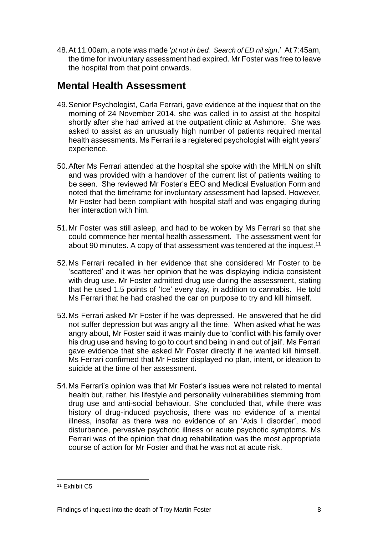48.At 11:00am, a note was made '*pt not in bed. Search of ED nil sign*.' At 7:45am, the time for involuntary assessment had expired. Mr Foster was free to leave the hospital from that point onwards.

## <span id="page-10-0"></span>**Mental Health Assessment**

- 49.Senior Psychologist, Carla Ferrari, gave evidence at the inquest that on the morning of 24 November 2014, she was called in to assist at the hospital shortly after she had arrived at the outpatient clinic at Ashmore. She was asked to assist as an unusually high number of patients required mental health assessments. Ms Ferrari is a registered psychologist with eight years' experience.
- 50.After Ms Ferrari attended at the hospital she spoke with the MHLN on shift and was provided with a handover of the current list of patients waiting to be seen. She reviewed Mr Foster's EEO and Medical Evaluation Form and noted that the timeframe for involuntary assessment had lapsed. However, Mr Foster had been compliant with hospital staff and was engaging during her interaction with him.
- 51.Mr Foster was still asleep, and had to be woken by Ms Ferrari so that she could commence her mental health assessment. The assessment went for about 90 minutes. A copy of that assessment was tendered at the inquest.<sup>11</sup>
- 52.Ms Ferrari recalled in her evidence that she considered Mr Foster to be 'scattered' and it was her opinion that he was displaying indicia consistent with drug use. Mr Foster admitted drug use during the assessment, stating that he used 1.5 points of 'Ice' every day, in addition to cannabis. He told Ms Ferrari that he had crashed the car on purpose to try and kill himself.
- 53.Ms Ferrari asked Mr Foster if he was depressed. He answered that he did not suffer depression but was angry all the time. When asked what he was angry about, Mr Foster said it was mainly due to 'conflict with his family over his drug use and having to go to court and being in and out of jail'. Ms Ferrari gave evidence that she asked Mr Foster directly if he wanted kill himself. Ms Ferrari confirmed that Mr Foster displayed no plan, intent, or ideation to suicide at the time of her assessment.
- 54.Ms Ferrari's opinion was that Mr Foster's issues were not related to mental health but, rather, his lifestyle and personality vulnerabilities stemming from drug use and anti-social behaviour. She concluded that, while there was history of drug-induced psychosis, there was no evidence of a mental illness, insofar as there was no evidence of an 'Axis I disorder', mood disturbance, pervasive psychotic illness or acute psychotic symptoms. Ms Ferrari was of the opinion that drug rehabilitation was the most appropriate course of action for Mr Foster and that he was not at acute risk.

<sup>11</sup> Exhibit C5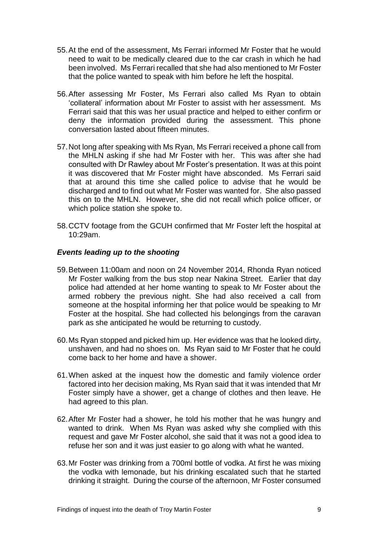- 55.At the end of the assessment, Ms Ferrari informed Mr Foster that he would need to wait to be medically cleared due to the car crash in which he had been involved. Ms Ferrari recalled that she had also mentioned to Mr Foster that the police wanted to speak with him before he left the hospital.
- 56.After assessing Mr Foster, Ms Ferrari also called Ms Ryan to obtain 'collateral' information about Mr Foster to assist with her assessment. Ms Ferrari said that this was her usual practice and helped to either confirm or deny the information provided during the assessment. This phone conversation lasted about fifteen minutes.
- 57.Not long after speaking with Ms Ryan, Ms Ferrari received a phone call from the MHLN asking if she had Mr Foster with her. This was after she had consulted with Dr Rawley about Mr Foster's presentation. It was at this point it was discovered that Mr Foster might have absconded. Ms Ferrari said that at around this time she called police to advise that he would be discharged and to find out what Mr Foster was wanted for. She also passed this on to the MHLN. However, she did not recall which police officer, or which police station she spoke to.
- 58.CCTV footage from the GCUH confirmed that Mr Foster left the hospital at 10:29am.

#### *Events leading up to the shooting*

- 59.Between 11:00am and noon on 24 November 2014, Rhonda Ryan noticed Mr Foster walking from the bus stop near Nakina Street. Earlier that day police had attended at her home wanting to speak to Mr Foster about the armed robbery the previous night. She had also received a call from someone at the hospital informing her that police would be speaking to Mr Foster at the hospital. She had collected his belongings from the caravan park as she anticipated he would be returning to custody.
- 60.Ms Ryan stopped and picked him up. Her evidence was that he looked dirty, unshaven, and had no shoes on. Ms Ryan said to Mr Foster that he could come back to her home and have a shower.
- 61.When asked at the inquest how the domestic and family violence order factored into her decision making, Ms Ryan said that it was intended that Mr Foster simply have a shower, get a change of clothes and then leave. He had agreed to this plan.
- 62.After Mr Foster had a shower, he told his mother that he was hungry and wanted to drink. When Ms Ryan was asked why she complied with this request and gave Mr Foster alcohol, she said that it was not a good idea to refuse her son and it was just easier to go along with what he wanted.
- 63.Mr Foster was drinking from a 700ml bottle of vodka. At first he was mixing the vodka with lemonade, but his drinking escalated such that he started drinking it straight. During the course of the afternoon, Mr Foster consumed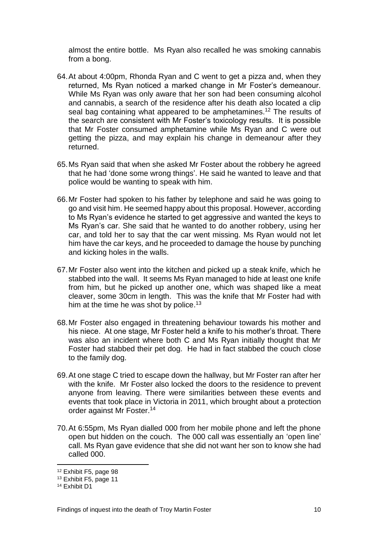almost the entire bottle. Ms Ryan also recalled he was smoking cannabis from a bong.

- 64.At about 4:00pm, Rhonda Ryan and C went to get a pizza and, when they returned, Ms Ryan noticed a marked change in Mr Foster's demeanour. While Ms Ryan was only aware that her son had been consuming alcohol and cannabis, a search of the residence after his death also located a clip seal bag containing what appeared to be amphetamines.<sup>12</sup> The results of the search are consistent with Mr Foster's toxicology results. It is possible that Mr Foster consumed amphetamine while Ms Ryan and C were out getting the pizza, and may explain his change in demeanour after they returned.
- 65.Ms Ryan said that when she asked Mr Foster about the robbery he agreed that he had 'done some wrong things'. He said he wanted to leave and that police would be wanting to speak with him.
- 66.Mr Foster had spoken to his father by telephone and said he was going to go and visit him. He seemed happy about this proposal. However, according to Ms Ryan's evidence he started to get aggressive and wanted the keys to Ms Ryan's car. She said that he wanted to do another robbery, using her car, and told her to say that the car went missing. Ms Ryan would not let him have the car keys, and he proceeded to damage the house by punching and kicking holes in the walls.
- 67.Mr Foster also went into the kitchen and picked up a steak knife, which he stabbed into the wall. It seems Ms Ryan managed to hide at least one knife from him, but he picked up another one, which was shaped like a meat cleaver, some 30cm in length. This was the knife that Mr Foster had with him at the time he was shot by police.<sup>13</sup>
- 68.Mr Foster also engaged in threatening behaviour towards his mother and his niece. At one stage, Mr Foster held a knife to his mother's throat. There was also an incident where both C and Ms Ryan initially thought that Mr Foster had stabbed their pet dog. He had in fact stabbed the couch close to the family dog.
- 69.At one stage C tried to escape down the hallway, but Mr Foster ran after her with the knife. Mr Foster also locked the doors to the residence to prevent anyone from leaving. There were similarities between these events and events that took place in Victoria in 2011, which brought about a protection order against Mr Foster.<sup>14</sup>
- 70.At 6:55pm, Ms Ryan dialled 000 from her mobile phone and left the phone open but hidden on the couch. The 000 call was essentially an 'open line' call. Ms Ryan gave evidence that she did not want her son to know she had called 000.

<sup>12</sup> Exhibit F5, page 98

<sup>13</sup> Exhibit F5, page 11

<sup>14</sup> Exhibit D1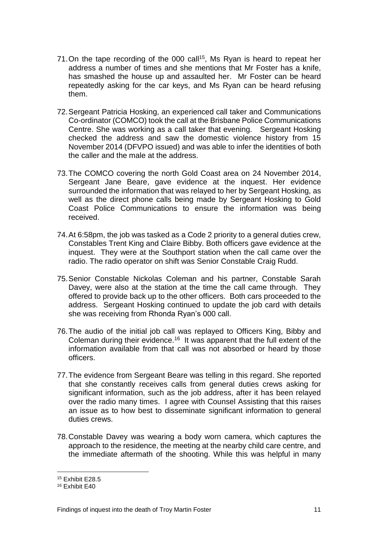- 71. On the tape recording of the 000 call<sup>15</sup>, Ms Ryan is heard to repeat her address a number of times and she mentions that Mr Foster has a knife, has smashed the house up and assaulted her. Mr Foster can be heard repeatedly asking for the car keys, and Ms Ryan can be heard refusing them.
- 72.Sergeant Patricia Hosking, an experienced call taker and Communications Co-ordinator (COMCO) took the call at the Brisbane Police Communications Centre. She was working as a call taker that evening. Sergeant Hosking checked the address and saw the domestic violence history from 15 November 2014 (DFVPO issued) and was able to infer the identities of both the caller and the male at the address.
- 73.The COMCO covering the north Gold Coast area on 24 November 2014, Sergeant Jane Beare, gave evidence at the inquest. Her evidence surrounded the information that was relayed to her by Sergeant Hosking, as well as the direct phone calls being made by Sergeant Hosking to Gold Coast Police Communications to ensure the information was being received.
- 74.At 6:58pm, the job was tasked as a Code 2 priority to a general duties crew, Constables Trent King and Claire Bibby. Both officers gave evidence at the inquest. They were at the Southport station when the call came over the radio. The radio operator on shift was Senior Constable Craig Rudd.
- 75.Senior Constable Nickolas Coleman and his partner, Constable Sarah Davey, were also at the station at the time the call came through. They offered to provide back up to the other officers. Both cars proceeded to the address. Sergeant Hosking continued to update the job card with details she was receiving from Rhonda Ryan's 000 call.
- 76.The audio of the initial job call was replayed to Officers King, Bibby and Coleman during their evidence.<sup>16</sup> It was apparent that the full extent of the information available from that call was not absorbed or heard by those officers.
- 77.The evidence from Sergeant Beare was telling in this regard. She reported that she constantly receives calls from general duties crews asking for significant information, such as the job address, after it has been relayed over the radio many times. I agree with Counsel Assisting that this raises an issue as to how best to disseminate significant information to general duties crews.
- 78.Constable Davey was wearing a body worn camera, which captures the approach to the residence, the meeting at the nearby child care centre, and the immediate aftermath of the shooting. While this was helpful in many

<sup>15</sup> Exhibit E28.5

<sup>16</sup> Exhibit E40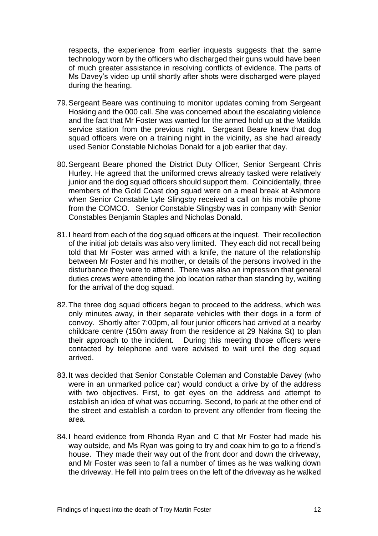respects, the experience from earlier inquests suggests that the same technology worn by the officers who discharged their guns would have been of much greater assistance in resolving conflicts of evidence. The parts of Ms Davey's video up until shortly after shots were discharged were played during the hearing.

- 79.Sergeant Beare was continuing to monitor updates coming from Sergeant Hosking and the 000 call. She was concerned about the escalating violence and the fact that Mr Foster was wanted for the armed hold up at the Matilda service station from the previous night. Sergeant Beare knew that dog squad officers were on a training night in the vicinity, as she had already used Senior Constable Nicholas Donald for a job earlier that day.
- 80.Sergeant Beare phoned the District Duty Officer, Senior Sergeant Chris Hurley. He agreed that the uniformed crews already tasked were relatively junior and the dog squad officers should support them. Coincidentally, three members of the Gold Coast dog squad were on a meal break at Ashmore when Senior Constable Lyle Slingsby received a call on his mobile phone from the COMCO. Senior Constable Slingsby was in company with Senior Constables Benjamin Staples and Nicholas Donald.
- 81.I heard from each of the dog squad officers at the inquest. Their recollection of the initial job details was also very limited. They each did not recall being told that Mr Foster was armed with a knife, the nature of the relationship between Mr Foster and his mother, or details of the persons involved in the disturbance they were to attend. There was also an impression that general duties crews were attending the job location rather than standing by, waiting for the arrival of the dog squad.
- 82.The three dog squad officers began to proceed to the address, which was only minutes away, in their separate vehicles with their dogs in a form of convoy. Shortly after 7:00pm, all four junior officers had arrived at a nearby childcare centre (150m away from the residence at 29 Nakina St) to plan their approach to the incident. During this meeting those officers were contacted by telephone and were advised to wait until the dog squad arrived.
- 83.It was decided that Senior Constable Coleman and Constable Davey (who were in an unmarked police car) would conduct a drive by of the address with two objectives. First, to get eyes on the address and attempt to establish an idea of what was occurring. Second, to park at the other end of the street and establish a cordon to prevent any offender from fleeing the area.
- 84.I heard evidence from Rhonda Ryan and C that Mr Foster had made his way outside, and Ms Ryan was going to try and coax him to go to a friend's house. They made their way out of the front door and down the driveway, and Mr Foster was seen to fall a number of times as he was walking down the driveway. He fell into palm trees on the left of the driveway as he walked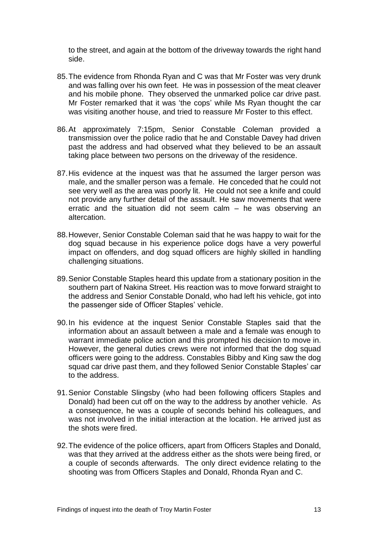to the street, and again at the bottom of the driveway towards the right hand side.

- 85.The evidence from Rhonda Ryan and C was that Mr Foster was very drunk and was falling over his own feet. He was in possession of the meat cleaver and his mobile phone. They observed the unmarked police car drive past. Mr Foster remarked that it was 'the cops' while Ms Ryan thought the car was visiting another house, and tried to reassure Mr Foster to this effect.
- 86.At approximately 7:15pm, Senior Constable Coleman provided a transmission over the police radio that he and Constable Davey had driven past the address and had observed what they believed to be an assault taking place between two persons on the driveway of the residence.
- 87.His evidence at the inquest was that he assumed the larger person was male, and the smaller person was a female. He conceded that he could not see very well as the area was poorly lit. He could not see a knife and could not provide any further detail of the assault. He saw movements that were erratic and the situation did not seem calm – he was observing an altercation.
- 88.However, Senior Constable Coleman said that he was happy to wait for the dog squad because in his experience police dogs have a very powerful impact on offenders, and dog squad officers are highly skilled in handling challenging situations.
- 89.Senior Constable Staples heard this update from a stationary position in the southern part of Nakina Street. His reaction was to move forward straight to the address and Senior Constable Donald, who had left his vehicle, got into the passenger side of Officer Staples' vehicle.
- 90.In his evidence at the inquest Senior Constable Staples said that the information about an assault between a male and a female was enough to warrant immediate police action and this prompted his decision to move in. However, the general duties crews were not informed that the dog squad officers were going to the address. Constables Bibby and King saw the dog squad car drive past them, and they followed Senior Constable Staples' car to the address.
- 91.Senior Constable Slingsby (who had been following officers Staples and Donald) had been cut off on the way to the address by another vehicle. As a consequence, he was a couple of seconds behind his colleagues, and was not involved in the initial interaction at the location. He arrived just as the shots were fired.
- 92.The evidence of the police officers, apart from Officers Staples and Donald, was that they arrived at the address either as the shots were being fired, or a couple of seconds afterwards. The only direct evidence relating to the shooting was from Officers Staples and Donald, Rhonda Ryan and C.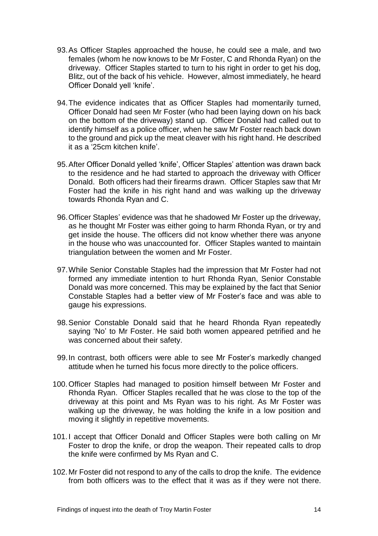- 93.As Officer Staples approached the house, he could see a male, and two females (whom he now knows to be Mr Foster, C and Rhonda Ryan) on the driveway. Officer Staples started to turn to his right in order to get his dog, Blitz, out of the back of his vehicle. However, almost immediately, he heard Officer Donald yell 'knife'.
- 94.The evidence indicates that as Officer Staples had momentarily turned, Officer Donald had seen Mr Foster (who had been laying down on his back on the bottom of the driveway) stand up. Officer Donald had called out to identify himself as a police officer, when he saw Mr Foster reach back down to the ground and pick up the meat cleaver with his right hand. He described it as a '25cm kitchen knife'.
- 95.After Officer Donald yelled 'knife', Officer Staples' attention was drawn back to the residence and he had started to approach the driveway with Officer Donald. Both officers had their firearms drawn. Officer Staples saw that Mr Foster had the knife in his right hand and was walking up the driveway towards Rhonda Ryan and C.
- 96.Officer Staples' evidence was that he shadowed Mr Foster up the driveway, as he thought Mr Foster was either going to harm Rhonda Ryan, or try and get inside the house. The officers did not know whether there was anyone in the house who was unaccounted for. Officer Staples wanted to maintain triangulation between the women and Mr Foster.
- 97.While Senior Constable Staples had the impression that Mr Foster had not formed any immediate intention to hurt Rhonda Ryan, Senior Constable Donald was more concerned. This may be explained by the fact that Senior Constable Staples had a better view of Mr Foster's face and was able to gauge his expressions.
- 98.Senior Constable Donald said that he heard Rhonda Ryan repeatedly saying 'No' to Mr Foster. He said both women appeared petrified and he was concerned about their safety.
- 99.In contrast, both officers were able to see Mr Foster's markedly changed attitude when he turned his focus more directly to the police officers.
- 100.Officer Staples had managed to position himself between Mr Foster and Rhonda Ryan. Officer Staples recalled that he was close to the top of the driveway at this point and Ms Ryan was to his right. As Mr Foster was walking up the driveway, he was holding the knife in a low position and moving it slightly in repetitive movements.
- 101.I accept that Officer Donald and Officer Staples were both calling on Mr Foster to drop the knife, or drop the weapon. Their repeated calls to drop the knife were confirmed by Ms Ryan and C.
- 102.Mr Foster did not respond to any of the calls to drop the knife. The evidence from both officers was to the effect that it was as if they were not there.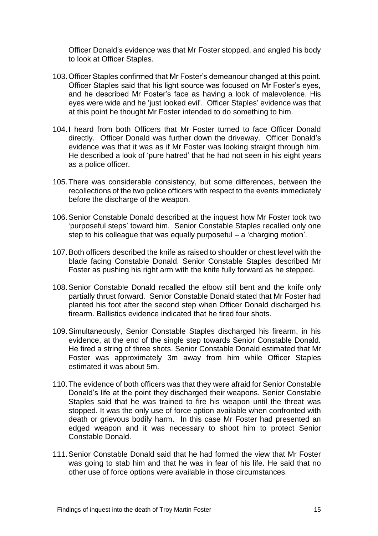Officer Donald's evidence was that Mr Foster stopped, and angled his body to look at Officer Staples.

- 103.Officer Staples confirmed that Mr Foster's demeanour changed at this point. Officer Staples said that his light source was focused on Mr Foster's eyes, and he described Mr Foster's face as having a look of malevolence. His eyes were wide and he 'just looked evil'. Officer Staples' evidence was that at this point he thought Mr Foster intended to do something to him.
- 104.I heard from both Officers that Mr Foster turned to face Officer Donald directly. Officer Donald was further down the driveway. Officer Donald's evidence was that it was as if Mr Foster was looking straight through him. He described a look of 'pure hatred' that he had not seen in his eight years as a police officer.
- 105.There was considerable consistency, but some differences, between the recollections of the two police officers with respect to the events immediately before the discharge of the weapon.
- 106.Senior Constable Donald described at the inquest how Mr Foster took two 'purposeful steps' toward him. Senior Constable Staples recalled only one step to his colleague that was equally purposeful – a 'charging motion'.
- 107.Both officers described the knife as raised to shoulder or chest level with the blade facing Constable Donald. Senior Constable Staples described Mr Foster as pushing his right arm with the knife fully forward as he stepped.
- 108.Senior Constable Donald recalled the elbow still bent and the knife only partially thrust forward. Senior Constable Donald stated that Mr Foster had planted his foot after the second step when Officer Donald discharged his firearm. Ballistics evidence indicated that he fired four shots.
- 109.Simultaneously, Senior Constable Staples discharged his firearm, in his evidence, at the end of the single step towards Senior Constable Donald. He fired a string of three shots. Senior Constable Donald estimated that Mr Foster was approximately 3m away from him while Officer Staples estimated it was about 5m.
- 110.The evidence of both officers was that they were afraid for Senior Constable Donald's life at the point they discharged their weapons. Senior Constable Staples said that he was trained to fire his weapon until the threat was stopped. It was the only use of force option available when confronted with death or grievous bodily harm. In this case Mr Foster had presented an edged weapon and it was necessary to shoot him to protect Senior Constable Donald.
- 111.Senior Constable Donald said that he had formed the view that Mr Foster was going to stab him and that he was in fear of his life. He said that no other use of force options were available in those circumstances.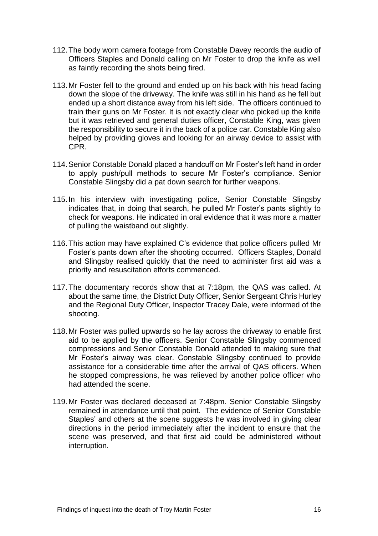- 112.The body worn camera footage from Constable Davey records the audio of Officers Staples and Donald calling on Mr Foster to drop the knife as well as faintly recording the shots being fired.
- 113.Mr Foster fell to the ground and ended up on his back with his head facing down the slope of the driveway. The knife was still in his hand as he fell but ended up a short distance away from his left side. The officers continued to train their guns on Mr Foster. It is not exactly clear who picked up the knife but it was retrieved and general duties officer, Constable King, was given the responsibility to secure it in the back of a police car. Constable King also helped by providing gloves and looking for an airway device to assist with CPR.
- 114.Senior Constable Donald placed a handcuff on Mr Foster's left hand in order to apply push/pull methods to secure Mr Foster's compliance. Senior Constable Slingsby did a pat down search for further weapons.
- 115.In his interview with investigating police, Senior Constable Slingsby indicates that, in doing that search, he pulled Mr Foster's pants slightly to check for weapons. He indicated in oral evidence that it was more a matter of pulling the waistband out slightly.
- 116.This action may have explained C's evidence that police officers pulled Mr Foster's pants down after the shooting occurred. Officers Staples, Donald and Slingsby realised quickly that the need to administer first aid was a priority and resuscitation efforts commenced.
- 117.The documentary records show that at 7:18pm, the QAS was called. At about the same time, the District Duty Officer, Senior Sergeant Chris Hurley and the Regional Duty Officer, Inspector Tracey Dale, were informed of the shooting.
- 118.Mr Foster was pulled upwards so he lay across the driveway to enable first aid to be applied by the officers. Senior Constable Slingsby commenced compressions and Senior Constable Donald attended to making sure that Mr Foster's airway was clear. Constable Slingsby continued to provide assistance for a considerable time after the arrival of QAS officers. When he stopped compressions, he was relieved by another police officer who had attended the scene.
- 119.Mr Foster was declared deceased at 7:48pm. Senior Constable Slingsby remained in attendance until that point. The evidence of Senior Constable Staples' and others at the scene suggests he was involved in giving clear directions in the period immediately after the incident to ensure that the scene was preserved, and that first aid could be administered without interruption.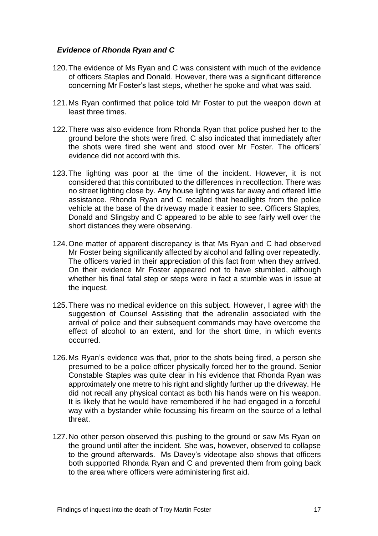#### *Evidence of Rhonda Ryan and C*

- 120.The evidence of Ms Ryan and C was consistent with much of the evidence of officers Staples and Donald. However, there was a significant difference concerning Mr Foster's last steps, whether he spoke and what was said.
- 121.Ms Ryan confirmed that police told Mr Foster to put the weapon down at least three times.
- 122.There was also evidence from Rhonda Ryan that police pushed her to the ground before the shots were fired. C also indicated that immediately after the shots were fired she went and stood over Mr Foster. The officers' evidence did not accord with this.
- 123.The lighting was poor at the time of the incident. However, it is not considered that this contributed to the differences in recollection. There was no street lighting close by. Any house lighting was far away and offered little assistance. Rhonda Ryan and C recalled that headlights from the police vehicle at the base of the driveway made it easier to see. Officers Staples, Donald and Slingsby and C appeared to be able to see fairly well over the short distances they were observing.
- 124.One matter of apparent discrepancy is that Ms Ryan and C had observed Mr Foster being significantly affected by alcohol and falling over repeatedly. The officers varied in their appreciation of this fact from when they arrived. On their evidence Mr Foster appeared not to have stumbled, although whether his final fatal step or steps were in fact a stumble was in issue at the inquest.
- 125.There was no medical evidence on this subject. However, I agree with the suggestion of Counsel Assisting that the adrenalin associated with the arrival of police and their subsequent commands may have overcome the effect of alcohol to an extent, and for the short time, in which events occurred.
- 126.Ms Ryan's evidence was that, prior to the shots being fired, a person she presumed to be a police officer physically forced her to the ground. Senior Constable Staples was quite clear in his evidence that Rhonda Ryan was approximately one metre to his right and slightly further up the driveway. He did not recall any physical contact as both his hands were on his weapon. It is likely that he would have remembered if he had engaged in a forceful way with a bystander while focussing his firearm on the source of a lethal threat.
- 127.No other person observed this pushing to the ground or saw Ms Ryan on the ground until after the incident. She was, however, observed to collapse to the ground afterwards. Ms Davey's videotape also shows that officers both supported Rhonda Ryan and C and prevented them from going back to the area where officers were administering first aid.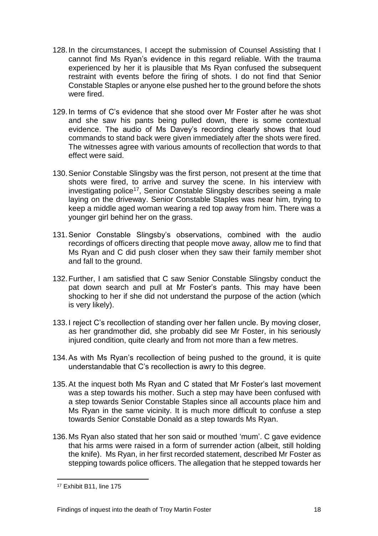- 128.In the circumstances, I accept the submission of Counsel Assisting that I cannot find Ms Ryan's evidence in this regard reliable. With the trauma experienced by her it is plausible that Ms Ryan confused the subsequent restraint with events before the firing of shots. I do not find that Senior Constable Staples or anyone else pushed her to the ground before the shots were fired.
- 129.In terms of C's evidence that she stood over Mr Foster after he was shot and she saw his pants being pulled down, there is some contextual evidence. The audio of Ms Davey's recording clearly shows that loud commands to stand back were given immediately after the shots were fired. The witnesses agree with various amounts of recollection that words to that effect were said.
- 130.Senior Constable Slingsby was the first person, not present at the time that shots were fired, to arrive and survey the scene. In his interview with investigating police<sup>17</sup>, Senior Constable Slingsby describes seeing a male laying on the driveway. Senior Constable Staples was near him, trying to keep a middle aged woman wearing a red top away from him. There was a younger girl behind her on the grass.
- 131.Senior Constable Slingsby's observations, combined with the audio recordings of officers directing that people move away, allow me to find that Ms Ryan and C did push closer when they saw their family member shot and fall to the ground.
- 132.Further, I am satisfied that C saw Senior Constable Slingsby conduct the pat down search and pull at Mr Foster's pants. This may have been shocking to her if she did not understand the purpose of the action (which is very likely).
- 133.I reject C's recollection of standing over her fallen uncle. By moving closer, as her grandmother did, she probably did see Mr Foster, in his seriously injured condition, quite clearly and from not more than a few metres.
- 134.As with Ms Ryan's recollection of being pushed to the ground, it is quite understandable that C's recollection is awry to this degree.
- 135.At the inquest both Ms Ryan and C stated that Mr Foster's last movement was a step towards his mother. Such a step may have been confused with a step towards Senior Constable Staples since all accounts place him and Ms Ryan in the same vicinity. It is much more difficult to confuse a step towards Senior Constable Donald as a step towards Ms Ryan.
- 136.Ms Ryan also stated that her son said or mouthed 'mum'. C gave evidence that his arms were raised in a form of surrender action (albeit, still holding the knife). Ms Ryan, in her first recorded statement, described Mr Foster as stepping towards police officers. The allegation that he stepped towards her

<sup>17</sup> Exhibit B11, line 175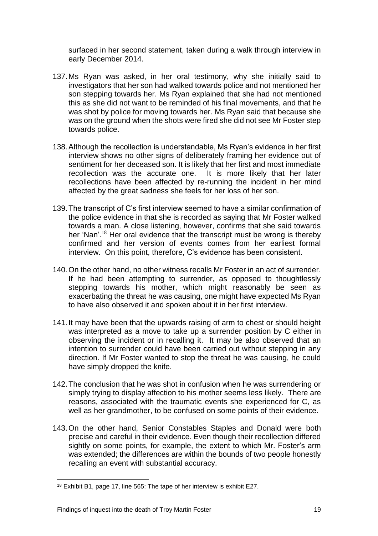surfaced in her second statement, taken during a walk through interview in early December 2014.

- 137.Ms Ryan was asked, in her oral testimony, why she initially said to investigators that her son had walked towards police and not mentioned her son stepping towards her. Ms Ryan explained that she had not mentioned this as she did not want to be reminded of his final movements, and that he was shot by police for moving towards her. Ms Ryan said that because she was on the ground when the shots were fired she did not see Mr Foster step towards police.
- 138.Although the recollection is understandable, Ms Ryan's evidence in her first interview shows no other signs of deliberately framing her evidence out of sentiment for her deceased son. It is likely that her first and most immediate recollection was the accurate one. It is more likely that her later recollections have been affected by re-running the incident in her mind affected by the great sadness she feels for her loss of her son.
- 139.The transcript of C's first interview seemed to have a similar confirmation of the police evidence in that she is recorded as saying that Mr Foster walked towards a man. A close listening, however, confirms that she said towards her 'Nan'.<sup>18</sup> Her oral evidence that the transcript must be wrong is thereby confirmed and her version of events comes from her earliest formal interview. On this point, therefore, C's evidence has been consistent.
- 140.On the other hand, no other witness recalls Mr Foster in an act of surrender. If he had been attempting to surrender, as opposed to thoughtlessly stepping towards his mother, which might reasonably be seen as exacerbating the threat he was causing, one might have expected Ms Ryan to have also observed it and spoken about it in her first interview.
- 141.It may have been that the upwards raising of arm to chest or should height was interpreted as a move to take up a surrender position by C either in observing the incident or in recalling it. It may be also observed that an intention to surrender could have been carried out without stepping in any direction. If Mr Foster wanted to stop the threat he was causing, he could have simply dropped the knife.
- 142.The conclusion that he was shot in confusion when he was surrendering or simply trying to display affection to his mother seems less likely. There are reasons, associated with the traumatic events she experienced for C, as well as her grandmother, to be confused on some points of their evidence.
- 143.On the other hand, Senior Constables Staples and Donald were both precise and careful in their evidence. Even though their recollection differed sightly on some points, for example, the extent to which Mr. Foster's arm was extended; the differences are within the bounds of two people honestly recalling an event with substantial accuracy.

<sup>18</sup> Exhibit B1, page 17, line 565: The tape of her interview is exhibit E27.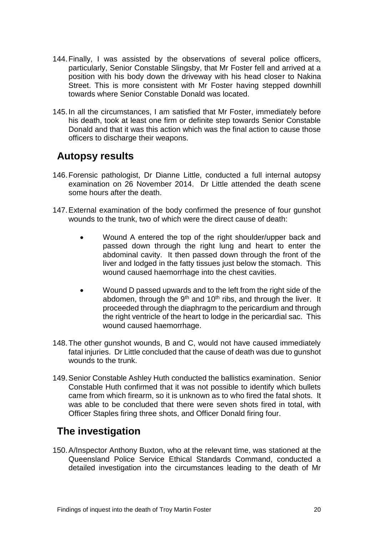- 144.Finally, I was assisted by the observations of several police officers, particularly, Senior Constable Slingsby, that Mr Foster fell and arrived at a position with his body down the driveway with his head closer to Nakina Street. This is more consistent with Mr Foster having stepped downhill towards where Senior Constable Donald was located.
- 145.In all the circumstances, I am satisfied that Mr Foster, immediately before his death, took at least one firm or definite step towards Senior Constable Donald and that it was this action which was the final action to cause those officers to discharge their weapons.

### <span id="page-22-0"></span>**Autopsy results**

- 146.Forensic pathologist, Dr Dianne Little, conducted a full internal autopsy examination on 26 November 2014. Dr Little attended the death scene some hours after the death.
- 147.External examination of the body confirmed the presence of four gunshot wounds to the trunk, two of which were the direct cause of death:
	- Wound A entered the top of the right shoulder/upper back and passed down through the right lung and heart to enter the abdominal cavity. It then passed down through the front of the liver and lodged in the fatty tissues just below the stomach. This wound caused haemorrhage into the chest cavities.
	- Wound D passed upwards and to the left from the right side of the abdomen, through the  $9<sup>th</sup>$  and  $10<sup>th</sup>$  ribs, and through the liver. It proceeded through the diaphragm to the pericardium and through the right ventricle of the heart to lodge in the pericardial sac. This wound caused haemorrhage.
- 148.The other gunshot wounds, B and C, would not have caused immediately fatal injuries. Dr Little concluded that the cause of death was due to gunshot wounds to the trunk.
- 149.Senior Constable Ashley Huth conducted the ballistics examination. Senior Constable Huth confirmed that it was not possible to identify which bullets came from which firearm, so it is unknown as to who fired the fatal shots. It was able to be concluded that there were seven shots fired in total, with Officer Staples firing three shots, and Officer Donald firing four.

## <span id="page-22-1"></span>**The investigation**

150.A/Inspector Anthony Buxton, who at the relevant time, was stationed at the Queensland Police Service Ethical Standards Command, conducted a detailed investigation into the circumstances leading to the death of Mr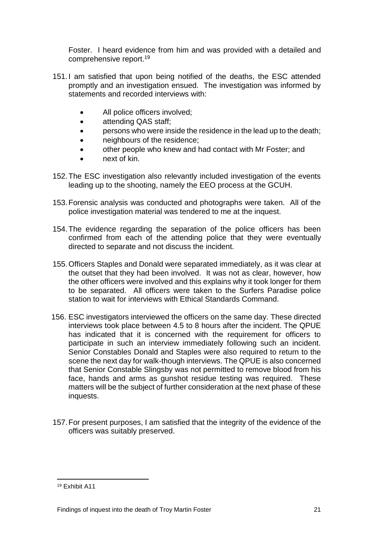Foster. I heard evidence from him and was provided with a detailed and comprehensive report.<sup>19</sup>

- 151.I am satisfied that upon being notified of the deaths, the ESC attended promptly and an investigation ensued. The investigation was informed by statements and recorded interviews with:
	- All police officers involved;
	- attending QAS staff;
	- **•** persons who were inside the residence in the lead up to the death;
	- **neighbours of the residence;**
	- other people who knew and had contact with Mr Foster; and
	- next of kin.
- 152.The ESC investigation also relevantly included investigation of the events leading up to the shooting, namely the EEO process at the GCUH.
- 153.Forensic analysis was conducted and photographs were taken. All of the police investigation material was tendered to me at the inquest.
- 154.The evidence regarding the separation of the police officers has been confirmed from each of the attending police that they were eventually directed to separate and not discuss the incident.
- 155.Officers Staples and Donald were separated immediately, as it was clear at the outset that they had been involved. It was not as clear, however, how the other officers were involved and this explains why it took longer for them to be separated. All officers were taken to the Surfers Paradise police station to wait for interviews with Ethical Standards Command.
- 156. ESC investigators interviewed the officers on the same day. These directed interviews took place between 4.5 to 8 hours after the incident. The QPUE has indicated that it is concerned with the requirement for officers to participate in such an interview immediately following such an incident. Senior Constables Donald and Staples were also required to return to the scene the next day for walk-though interviews. The QPUE is also concerned that Senior Constable Slingsby was not permitted to remove blood from his face, hands and arms as gunshot residue testing was required. These matters will be the subject of further consideration at the next phase of these inquests.
- 157.For present purposes, I am satisfied that the integrity of the evidence of the officers was suitably preserved.

<sup>19</sup> Exhibit A11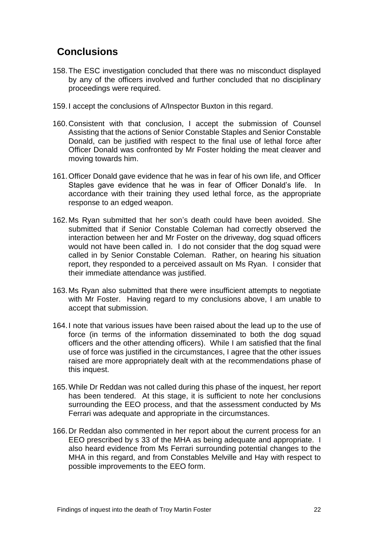## <span id="page-24-0"></span>**Conclusions**

- 158.The ESC investigation concluded that there was no misconduct displayed by any of the officers involved and further concluded that no disciplinary proceedings were required.
- 159.I accept the conclusions of A/Inspector Buxton in this regard.
- 160.Consistent with that conclusion, I accept the submission of Counsel Assisting that the actions of Senior Constable Staples and Senior Constable Donald, can be justified with respect to the final use of lethal force after Officer Donald was confronted by Mr Foster holding the meat cleaver and moving towards him.
- 161.Officer Donald gave evidence that he was in fear of his own life, and Officer Staples gave evidence that he was in fear of Officer Donald's life. In accordance with their training they used lethal force, as the appropriate response to an edged weapon.
- 162.Ms Ryan submitted that her son's death could have been avoided. She submitted that if Senior Constable Coleman had correctly observed the interaction between her and Mr Foster on the driveway, dog squad officers would not have been called in. I do not consider that the dog squad were called in by Senior Constable Coleman. Rather, on hearing his situation report, they responded to a perceived assault on Ms Ryan. I consider that their immediate attendance was justified.
- 163.Ms Ryan also submitted that there were insufficient attempts to negotiate with Mr Foster. Having regard to my conclusions above, I am unable to accept that submission.
- 164.I note that various issues have been raised about the lead up to the use of force (in terms of the information disseminated to both the dog squad officers and the other attending officers). While I am satisfied that the final use of force was justified in the circumstances, I agree that the other issues raised are more appropriately dealt with at the recommendations phase of this inquest.
- 165.While Dr Reddan was not called during this phase of the inquest, her report has been tendered. At this stage, it is sufficient to note her conclusions surrounding the EEO process, and that the assessment conducted by Ms Ferrari was adequate and appropriate in the circumstances.
- 166.Dr Reddan also commented in her report about the current process for an EEO prescribed by s 33 of the MHA as being adequate and appropriate. I also heard evidence from Ms Ferrari surrounding potential changes to the MHA in this regard, and from Constables Melville and Hay with respect to possible improvements to the EEO form.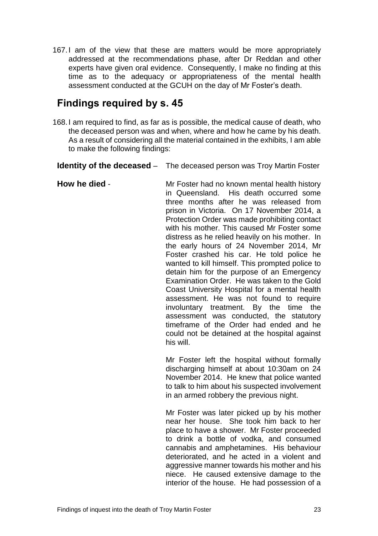167.I am of the view that these are matters would be more appropriately addressed at the recommendations phase, after Dr Reddan and other experts have given oral evidence. Consequently, I make no finding at this time as to the adequacy or appropriateness of the mental health assessment conducted at the GCUH on the day of Mr Foster's death.

### <span id="page-25-0"></span>**Findings required by s. 45**

168.I am required to find, as far as is possible, the medical cause of death, who the deceased person was and when, where and how he came by his death. As a result of considering all the material contained in the exhibits, I am able to make the following findings:

**Identity of the deceased** – The deceased person was Troy Martin Foster

**How he died** - Mr Foster had no known mental health history in Queensland. His death occurred some three months after he was released from prison in Victoria. On 17 November 2014, a Protection Order was made prohibiting contact with his mother. This caused Mr Foster some distress as he relied heavily on his mother. In the early hours of 24 November 2014, Mr Foster crashed his car. He told police he wanted to kill himself. This prompted police to detain him for the purpose of an Emergency Examination Order. He was taken to the Gold Coast University Hospital for a mental health assessment. He was not found to require involuntary treatment. By the time the assessment was conducted, the statutory timeframe of the Order had ended and he could not be detained at the hospital against his will.

> Mr Foster left the hospital without formally discharging himself at about 10:30am on 24 November 2014. He knew that police wanted to talk to him about his suspected involvement in an armed robbery the previous night.

> Mr Foster was later picked up by his mother near her house. She took him back to her place to have a shower. Mr Foster proceeded to drink a bottle of vodka, and consumed cannabis and amphetamines. His behaviour deteriorated, and he acted in a violent and aggressive manner towards his mother and his niece. He caused extensive damage to the interior of the house. He had possession of a